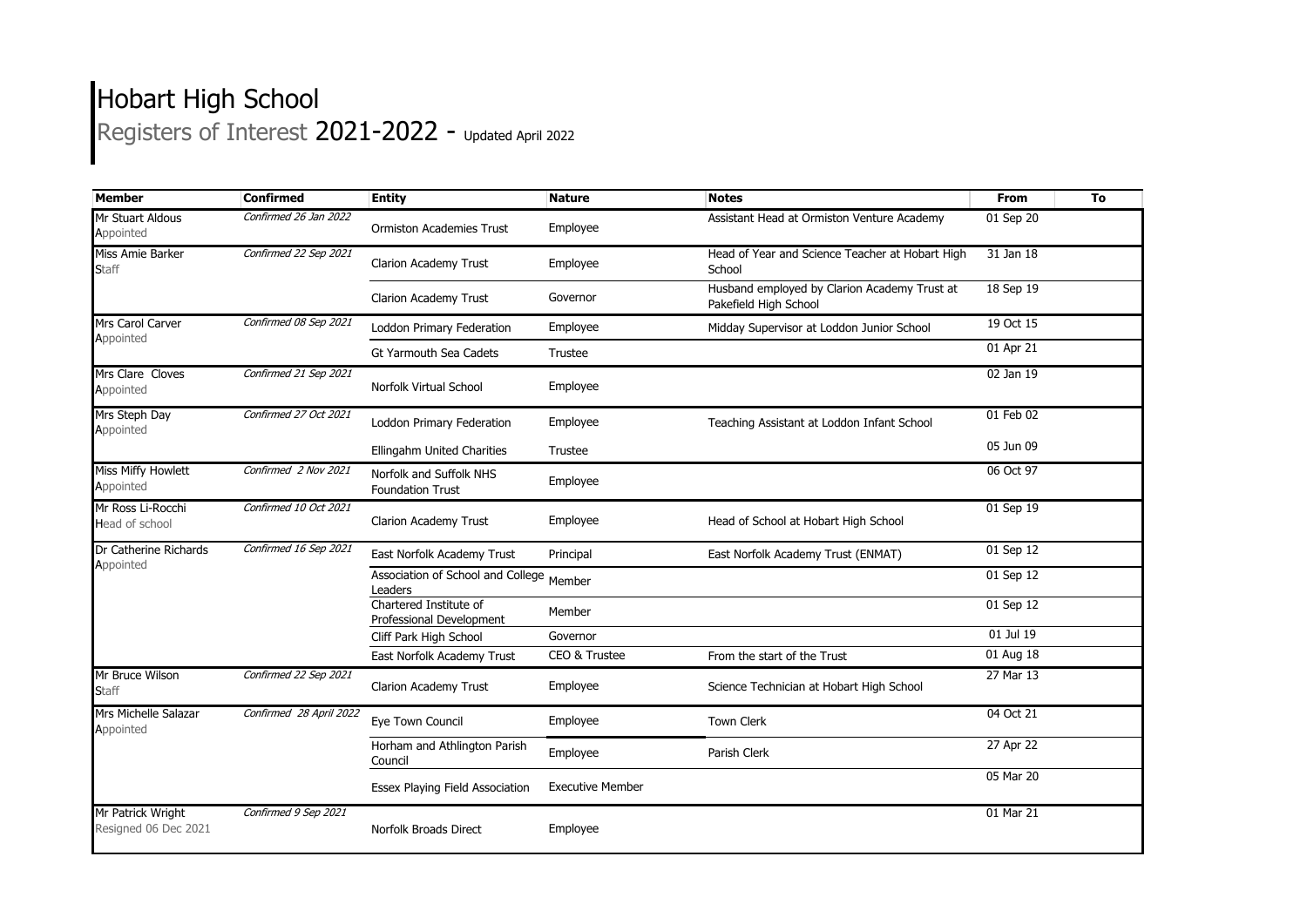## Hobart High School Registers of Interest 2021-2022 - Updated April 2022

| <b>Member</b>                             | <b>Confirmed</b>        | <b>Entity</b>                                      | <b>Nature</b>           | <b>Notes</b>                                                          | From      | To |
|-------------------------------------------|-------------------------|----------------------------------------------------|-------------------------|-----------------------------------------------------------------------|-----------|----|
| Mr Stuart Aldous<br>Appointed             | Confirmed 26 Jan 2022   | <b>Ormiston Academies Trust</b>                    | Employee                | Assistant Head at Ormiston Venture Academy                            | 01 Sep 20 |    |
| Miss Amie Barker<br><b>Staff</b>          | Confirmed 22 Sep 2021   | <b>Clarion Academy Trust</b>                       | Employee                | Head of Year and Science Teacher at Hobart High<br>School             | 31 Jan 18 |    |
|                                           |                         | <b>Clarion Academy Trust</b>                       | Governor                | Husband employed by Clarion Academy Trust at<br>Pakefield High School | 18 Sep 19 |    |
| Mrs Carol Carver<br>Appointed             | Confirmed 08 Sep 2021   | Loddon Primary Federation                          | Employee                | Midday Supervisor at Loddon Junior School                             | 19 Oct 15 |    |
|                                           |                         | Gt Yarmouth Sea Cadets                             | Trustee                 |                                                                       | 01 Apr 21 |    |
| Mrs Clare Cloves<br>Appointed             | Confirmed 21 Sep 2021   | Norfolk Virtual School                             | Employee                |                                                                       | 02 Jan 19 |    |
| Mrs Steph Day<br>Appointed                | Confirmed 27 Oct 2021   | Loddon Primary Federation                          | Employee                | Teaching Assistant at Loddon Infant School                            | 01 Feb 02 |    |
|                                           |                         | Ellingahm United Charities                         | Trustee                 |                                                                       | 05 Jun 09 |    |
| <b>Miss Miffy Howlett</b><br>Appointed    | Confirmed 2 Nov 2021    | Norfolk and Suffolk NHS<br><b>Foundation Trust</b> | Employee                |                                                                       | 06 Oct 97 |    |
| Mr Ross Li-Rocchi<br>Head of school       | Confirmed 10 Oct 2021   | <b>Clarion Academy Trust</b>                       | Employee                | Head of School at Hobart High School                                  | 01 Sep 19 |    |
| Dr Catherine Richards                     | Confirmed 16 Sep 2021   | East Norfolk Academy Trust                         | Principal               | East Norfolk Academy Trust (ENMAT)                                    | 01 Sep 12 |    |
| Appointed                                 |                         | Association of School and College<br>Leaders       | Member                  |                                                                       | 01 Sep 12 |    |
|                                           |                         | Chartered Institute of<br>Professional Development | Member                  |                                                                       | 01 Sep 12 |    |
|                                           |                         | Cliff Park High School                             | Governor                |                                                                       | 01 Jul 19 |    |
|                                           |                         | East Norfolk Academy Trust                         | CEO & Trustee           | From the start of the Trust                                           | 01 Aug 18 |    |
| Mr Bruce Wilson<br><b>Staff</b>           | Confirmed 22 Sep 2021   | Clarion Academy Trust                              | Employee                | Science Technician at Hobart High School                              | 27 Mar 13 |    |
| Mrs Michelle Salazar<br>Appointed         | Confirmed 28 April 2022 | Eye Town Council                                   | Employee                | <b>Town Clerk</b>                                                     | 04 Oct 21 |    |
|                                           |                         | Horham and Athlington Parish<br>Council            | Employee                | Parish Clerk                                                          | 27 Apr 22 |    |
|                                           |                         | Essex Playing Field Association                    | <b>Executive Member</b> |                                                                       | 05 Mar 20 |    |
| Mr Patrick Wright<br>Resigned 06 Dec 2021 | Confirmed 9 Sep 2021    | Norfolk Broads Direct                              | Employee                |                                                                       | 01 Mar 21 |    |